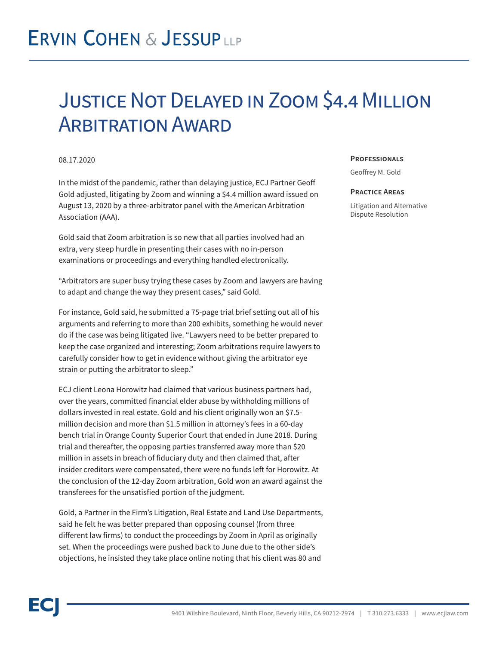## **ERVIN COHEN & JESSUPLLP**

### Justice Not Delayed in Zoom \$4.4 Million **ARBITRATION AWARD**

### 08.17.2020

In the midst of the pandemic, rather than delaying justice, ECJ Partner Geoff Gold adjusted, litigating by Zoom and winning a \$4.4 million award issued on August 13, 2020 by a three-arbitrator panel with the American Arbitration Association (AAA).

Gold said that Zoom arbitration is so new that all parties involved had an extra, very steep hurdle in presenting their cases with no in-person examinations or proceedings and everything handled electronically.

"Arbitrators are super busy trying these cases by Zoom and lawyers are having to adapt and change the way they present cases," said Gold.

For instance, Gold said, he submitted a 75-page trial brief setting out all of his arguments and referring to more than 200 exhibits, something he would never do if the case was being litigated live. "Lawyers need to be better prepared to keep the case organized and interesting; Zoom arbitrations require lawyers to carefully consider how to get in evidence without giving the arbitrator eye strain or putting the arbitrator to sleep."

ECJ client Leona Horowitz had claimed that various business partners had, over the years, committed financial elder abuse by withholding millions of dollars invested in real estate. Gold and his client originally won an \$7.5 million decision and more than \$1.5 million in attorney's fees in a 60-day bench trial in Orange County Superior Court that ended in June 2018. During trial and thereafter, the opposing parties transferred away more than \$20 million in assets in breach of fiduciary duty and then claimed that, after insider creditors were compensated, there were no funds left for Horowitz. At the conclusion of the 12-day Zoom arbitration, Gold won an award against the transferees for the unsatisfied portion of the judgment.

Gold, a Partner in the Firm's Litigation, Real Estate and Land Use Departments, said he felt he was better prepared than opposing counsel (from three different law firms) to conduct the proceedings by Zoom in April as originally set. When the proceedings were pushed back to June due to the other side's objections, he insisted they take place online noting that his client was 80 and

#### **Professionals**

Geoffrey M. Gold

#### **Practice Areas**

Litigation and Alternative Dispute Resolution